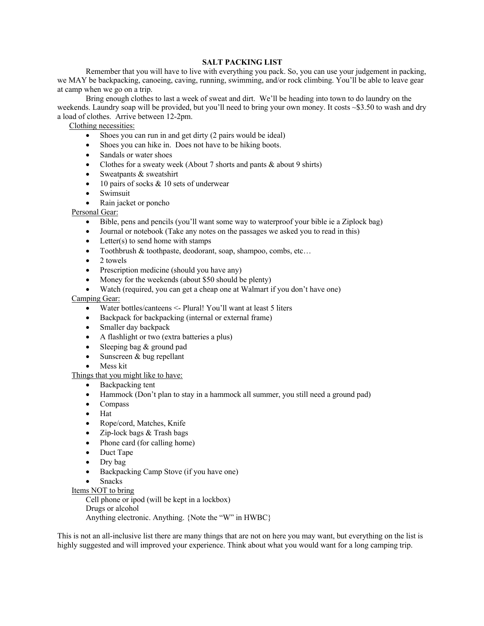#### **SALT PACKING LIST**

Remember that you will have to live with everything you pack. So, you can use your judgement in packing, we MAY be backpacking, canoeing, caving, running, swimming, and/or rock climbing. You'll be able to leave gear at camp when we go on a trip.

Bring enough clothes to last a week of sweat and dirt. We'll be heading into town to do laundry on the weekends. Laundry soap will be provided, but you'll need to bring your own money. It costs ~\$3.50 to wash and dry a load of clothes. Arrive between 12-2pm.

Clothing necessities:

- Shoes you can run in and get dirty (2 pairs would be ideal)
- Shoes you can hike in. Does not have to be hiking boots.
- Sandals or water shoes
- Clothes for a sweaty week (About 7 shorts and pants & about 9 shirts)
- Sweatpants & sweatshirt
- 10 pairs of socks  $& 10$  sets of underwear
- Swimsuit
- Rain jacket or poncho

Personal Gear:

- Bible, pens and pencils (you'll want some way to waterproof your bible ie a Ziplock bag)
- Journal or notebook (Take any notes on the passages we asked you to read in this)
- Letter $(s)$  to send home with stamps
- Toothbrush & toothpaste, deodorant, soap, shampoo, combs, etc...
- 2 towels
- Prescription medicine (should you have any)
- Money for the weekends (about \$50 should be plenty)
- Watch (required, you can get a cheap one at Walmart if you don't have one)

Camping Gear:

- Water bottles/canteens <- Plural! You'll want at least 5 liters
- Backpack for backpacking (internal or external frame)
- Smaller day backpack
- A flashlight or two (extra batteries a plus)
- Sleeping bag & ground pad
- Sunscreen & bug repellant
- Mess kit

#### Things that you might like to have:

- Backpacking tent
- Hammock (Don't plan to stay in a hammock all summer, you still need a ground pad)
- Compass
- Hat
- Rope/cord, Matches, Knife
- Zip-lock bags & Trash bags
- Phone card (for calling home)
- Duct Tape
- Dry bag
- Backpacking Camp Stove (if you have one)
- Snacks
- Items NOT to bring

Cell phone or ipod (will be kept in a lockbox)

Drugs or alcohol

Anything electronic. Anything. {Note the "W" in HWBC}

This is not an all-inclusive list there are many things that are not on here you may want, but everything on the list is highly suggested and will improved your experience. Think about what you would want for a long camping trip.